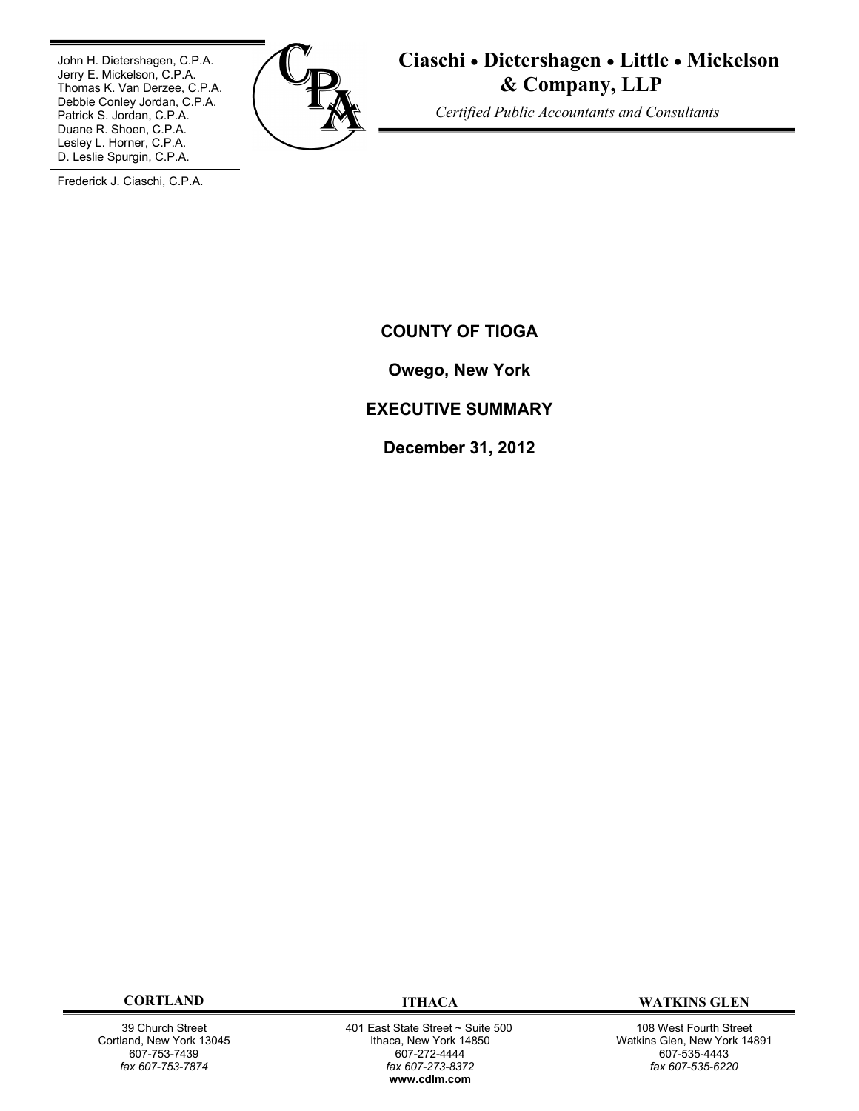John H. Dietershagen, C.P.A. Jerry E. Mickelson, C.P.A. Thomas K. Van Derzee, C.P.A. Debbie Conley Jordan, C.P.A. Patrick S. Jordan, C.P.A. Duane R. Shoen, C.P.A. Lesley L. Horner, C.P.A. D. Leslie Spurgin, C.P.A.



**Ciaschi Dietershagen Little Mickelson & Company, LLP**

 *Certified Public Accountants and Consultants*

Frederick J. Ciaschi, C.P.A.

**COUNTY OF TIOGA**

**Owego, New York**

# **EXECUTIVE SUMMARY**

**December 31, 2012**

39 Church Street Cortland, New York 13045 607-753-7439 *fax 607-753-7874*

 401 East State Street ~ Suite 500 Ithaca, New York 14850 607-272-4444 *fax 607-273-8372* **w[ww.cdlm.com](www.cdlm.com)**

**CORTLAND ITHACA WATKINS GLEN**

108 West Fourth Street Watkins Glen, New York 14891 607-535-4443 *fax 607-535-6220*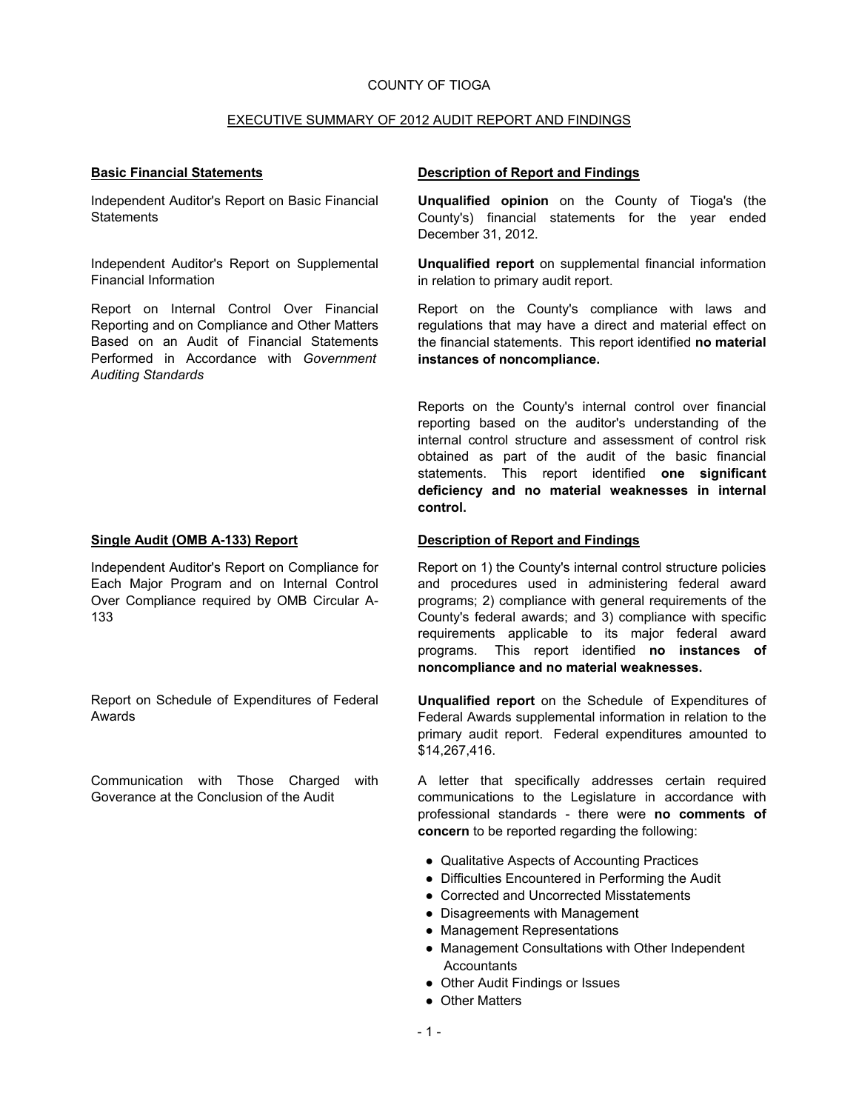#### COUNTY OF TIOGA

#### EXECUTIVE SUMMARY OF 2012 AUDIT REPORT AND FINDINGS

Independent Auditor's Report on Basic Financial **Statements** 

Independent Auditor's Report on Supplemental Financial Information

Report on Internal Control Over Financial Reporting and on Compliance and Other Matters Based on an Audit of Financial Statements Performed in Accordance with *Government Auditing Standards*

Independent Auditor's Report on Compliance for Each Major Program and on Internal Control Over Compliance required by OMB Circular A-133

Report on Schedule of Expenditures of Federal Awards

Communication with Those Charged with Goverance at the Conclusion of the Audit

#### **Basic Financial Statements Description of Report and Findings**

**Unqualified opinion** on the County of Tioga's (the County's) financial statements for the year ended December 31, 2012.

**Unqualified report** on supplemental financial information in relation to primary audit report.

Report on the County's compliance with laws and regulations that may have a direct and material effect on the financial statements. This report identified **no material instances of noncompliance.**

Reports on the County's internal control over financial reporting based on the auditor's understanding of the internal control structure and assessment of control risk obtained as part of the audit of the basic financial statements. This report identified **one significant deficiency and no material weaknesses in internal control.**

#### **Single Audit (OMB A-133) Report Description of Report and Findings**

Report on 1) the County's internal control structure policies and procedures used in administering federal award programs; 2) compliance with general requirements of the County's federal awards; and 3) compliance with specific requirements applicable to its major federal award programs. This report identified **no instances of noncompliance and no material weaknesses.**

**Unqualified report** on the Schedule of Expenditures of Federal Awards supplemental information in relation to the primary audit report. Federal expenditures amounted to \$14,267,416.

A letter that specifically addresses certain required communications to the Legislature in accordance with professional standards - there were **no comments of concern** to be reported regarding the following:

- Qualitative Aspects of Accounting Practices
- Difficulties Encountered in Performing the Audit
- Corrected and Uncorrected Misstatements
- Disagreements with Management
- Management Representations
- Management Consultations with Other Independent **Accountants**
- Other Audit Findings or Issues
- Other Matters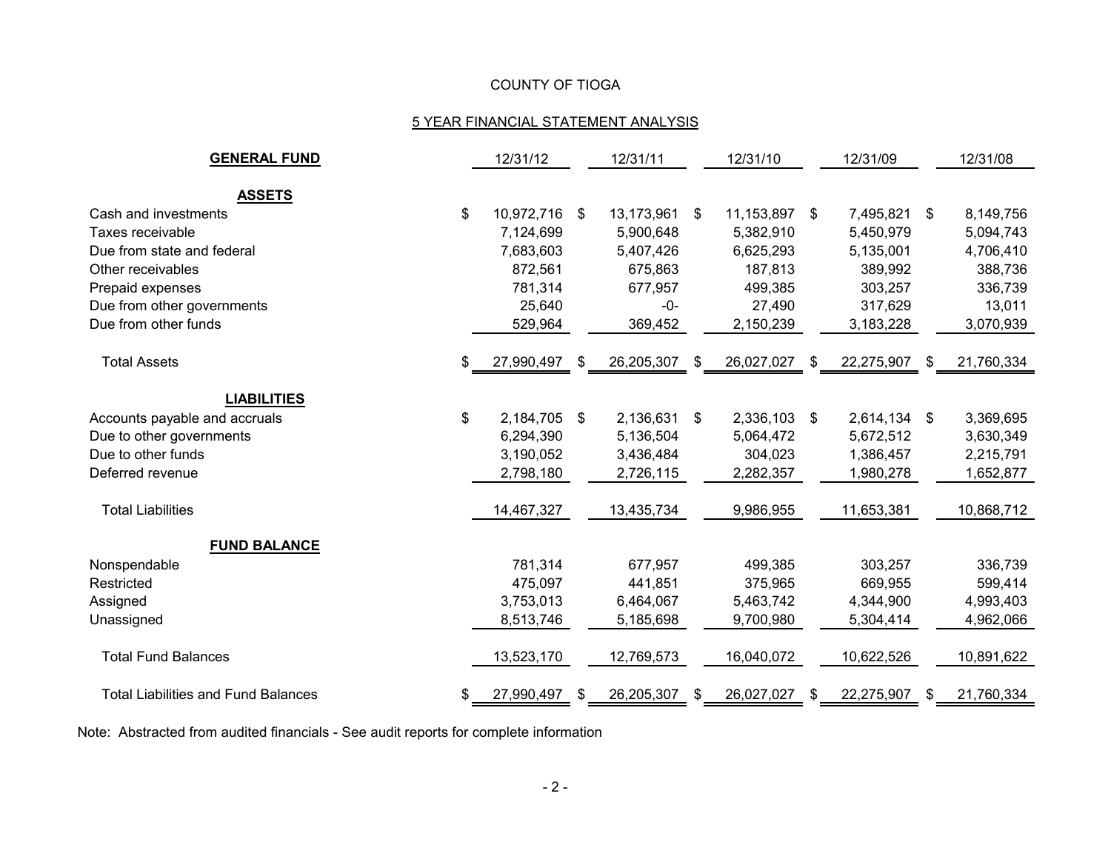# COUNTY OF TIOGA

# 5 YEAR FINANCIAL STATEMENT ANALYSIS

| <b>GENERAL FUND</b>                        | 12/31/12            |    | 12/31/11      | 12/31/10 |               | 12/31/09 |              |      | 12/31/08   |
|--------------------------------------------|---------------------|----|---------------|----------|---------------|----------|--------------|------|------------|
|                                            |                     |    |               |          |               |          |              |      |            |
| <b>ASSETS</b>                              |                     |    |               |          |               |          |              |      |            |
| Cash and investments                       | \$<br>10,972,716 \$ |    | 13,173,961 \$ |          | 11,153,897 \$ |          | 7,495,821 \$ |      | 8,149,756  |
| Taxes receivable                           | 7,124,699           |    | 5,900,648     |          | 5,382,910     |          | 5,450,979    |      | 5,094,743  |
| Due from state and federal                 | 7,683,603           |    | 5,407,426     |          | 6,625,293     |          | 5,135,001    |      | 4,706,410  |
| Other receivables                          | 872,561             |    | 675,863       |          | 187,813       |          | 389,992      |      | 388,736    |
| Prepaid expenses                           | 781,314             |    | 677,957       |          | 499,385       |          | 303,257      |      | 336,739    |
| Due from other governments                 | 25,640              |    | $-0-$         |          | 27,490        |          | 317,629      |      | 13,011     |
| Due from other funds                       | 529,964             |    | 369,452       |          | 2,150,239     |          | 3,183,228    |      | 3,070,939  |
| <b>Total Assets</b>                        | \$<br>27,990,497    | \$ | 26,205,307    | S.       | 26,027,027    | S.       | 22,275,907   | - SS | 21,760,334 |
|                                            |                     |    |               |          |               |          |              |      |            |
| <b>LIABILITIES</b>                         |                     |    |               |          |               |          |              |      |            |
| Accounts payable and accruals              | \$<br>2,184,705 \$  |    | 2,136,631 \$  |          | 2,336,103 \$  |          | 2,614,134 \$ |      | 3,369,695  |
| Due to other governments                   | 6,294,390           |    | 5,136,504     |          | 5,064,472     |          | 5,672,512    |      | 3,630,349  |
| Due to other funds                         | 3,190,052           |    | 3,436,484     |          | 304,023       |          | 1,386,457    |      | 2,215,791  |
| Deferred revenue                           | 2,798,180           |    | 2,726,115     |          | 2,282,357     |          | 1,980,278    |      | 1,652,877  |
| <b>Total Liabilities</b>                   | 14,467,327          |    | 13,435,734    |          | 9,986,955     |          | 11,653,381   |      | 10,868,712 |
| <b>FUND BALANCE</b>                        |                     |    |               |          |               |          |              |      |            |
| Nonspendable                               | 781,314             |    | 677,957       |          | 499,385       |          | 303,257      |      | 336,739    |
| Restricted                                 | 475,097             |    | 441,851       |          | 375,965       |          | 669,955      |      | 599,414    |
| Assigned                                   | 3,753,013           |    | 6,464,067     |          | 5,463,742     |          | 4,344,900    |      | 4,993,403  |
| Unassigned                                 | 8,513,746           |    | 5,185,698     |          | 9,700,980     |          | 5,304,414    |      | 4,962,066  |
| <b>Total Fund Balances</b>                 | 13,523,170          |    | 12,769,573    |          | 16,040,072    |          | 10,622,526   |      | 10,891,622 |
| <b>Total Liabilities and Fund Balances</b> | 27,990,497          | S  | 26,205,307    | S.       | 26,027,027    | S        | 22,275,907   |      | 21,760,334 |

Note: Abstracted from audited financials - See audit reports for complete information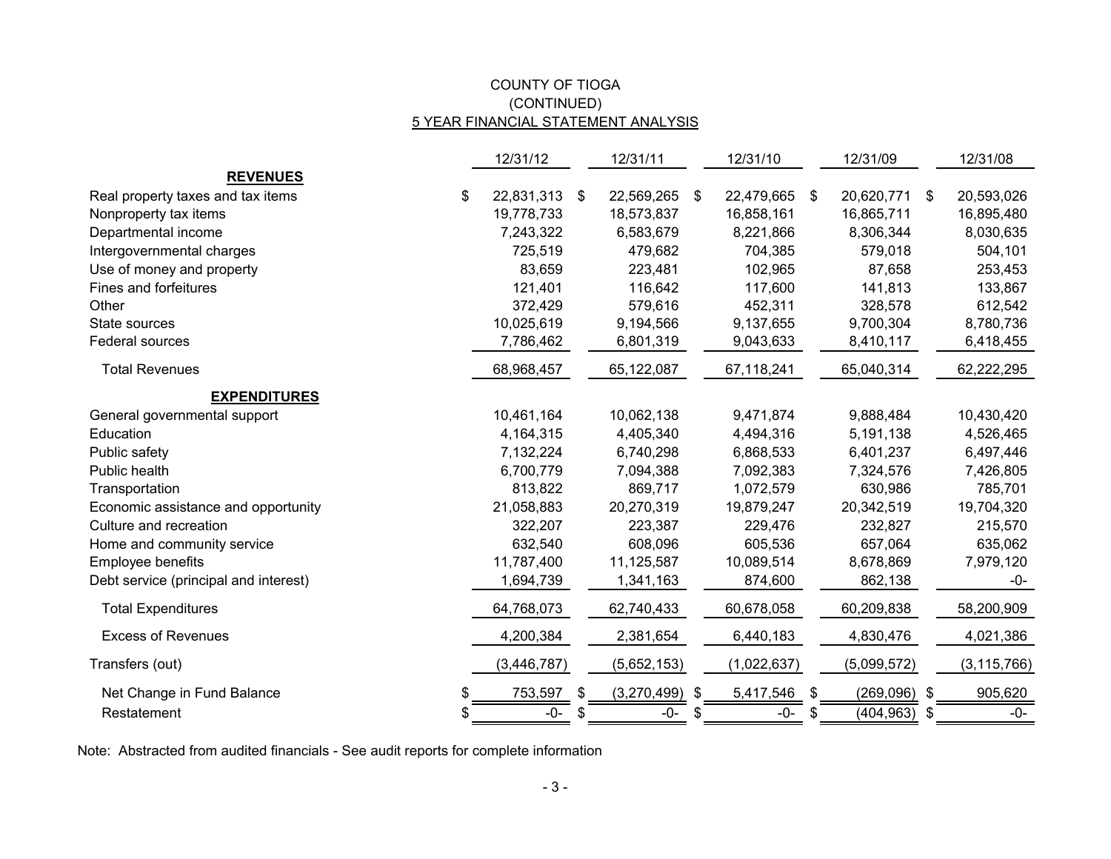# COUNTY OF TIOGA 5 YEAR FINANCIAL STATEMENT ANALYSIS (CONTINUED)

|                                        | 12/31/12      |     | 12/31/11    | 12/31/10         |    | 12/31/09       |      | 12/31/08      |
|----------------------------------------|---------------|-----|-------------|------------------|----|----------------|------|---------------|
| <b>REVENUES</b>                        |               |     |             |                  |    |                |      |               |
| Real property taxes and tax items<br>S | 22,831,313    | \$  | 22,569,265  | \$<br>22,479,665 | \$ | 20,620,771     | -\$  | 20,593,026    |
| Nonproperty tax items                  | 19,778,733    |     | 18,573,837  | 16,858,161       |    | 16,865,711     |      | 16,895,480    |
| Departmental income                    | 7,243,322     |     | 6,583,679   | 8,221,866        |    | 8,306,344      |      | 8,030,635     |
| Intergovernmental charges              | 725,519       |     | 479,682     | 704,385          |    | 579,018        |      | 504,101       |
| Use of money and property              | 83,659        |     | 223,481     | 102,965          |    | 87,658         |      | 253,453       |
| Fines and forfeitures                  | 121,401       |     | 116,642     | 117,600          |    | 141,813        |      | 133,867       |
| Other                                  | 372,429       |     | 579,616     | 452,311          |    | 328,578        |      | 612,542       |
| State sources                          | 10,025,619    |     | 9,194,566   | 9,137,655        |    | 9,700,304      |      | 8,780,736     |
| Federal sources                        | 7,786,462     |     | 6,801,319   | 9,043,633        |    | 8,410,117      |      | 6,418,455     |
| <b>Total Revenues</b>                  | 68,968,457    |     | 65,122,087  | 67,118,241       |    | 65,040,314     |      | 62,222,295    |
| <b>EXPENDITURES</b>                    |               |     |             |                  |    |                |      |               |
| General governmental support           | 10,461,164    |     | 10,062,138  | 9,471,874        |    | 9,888,484      |      | 10,430,420    |
| Education                              | 4,164,315     |     | 4,405,340   | 4,494,316        |    | 5,191,138      |      | 4,526,465     |
| Public safety                          | 7,132,224     |     | 6,740,298   | 6,868,533        |    | 6,401,237      |      | 6,497,446     |
| Public health                          | 6,700,779     |     | 7,094,388   | 7,092,383        |    | 7,324,576      |      | 7,426,805     |
| Transportation                         | 813,822       |     | 869,717     | 1,072,579        |    | 630,986        |      | 785,701       |
| Economic assistance and opportunity    | 21,058,883    |     | 20,270,319  | 19,879,247       |    | 20,342,519     |      | 19,704,320    |
| Culture and recreation                 | 322,207       |     | 223,387     | 229,476          |    | 232,827        |      | 215,570       |
| Home and community service             | 632,540       |     | 608,096     | 605,536          |    | 657,064        |      | 635,062       |
| Employee benefits                      | 11,787,400    |     | 11,125,587  | 10,089,514       |    | 8,678,869      |      | 7,979,120     |
| Debt service (principal and interest)  | 1,694,739     |     | 1,341,163   | 874,600          |    | 862,138        |      | -0-           |
| <b>Total Expenditures</b>              | 64,768,073    |     | 62,740,433  | 60,678,058       |    | 60,209,838     |      | 58,200,909    |
| <b>Excess of Revenues</b>              | 4,200,384     |     | 2,381,654   | 6,440,183        |    | 4,830,476      |      | 4,021,386     |
| Transfers (out)                        | (3, 446, 787) |     | (5,652,153) | (1,022,637)      |    | (5,099,572)    |      | (3, 115, 766) |
| Net Change in Fund Balance<br>S        | 753,597       | \$  | (3,270,499) | \$<br>5,417,546  | \$ | $(269,096)$ \$ |      | 905,620       |
| Restatement<br>S                       | $-0-$         | -56 | -0-         | \$<br>-0-        | S. | (404, 963)     | - \$ | $-0-$         |

Note: Abstracted from audited financials - See audit reports for complete information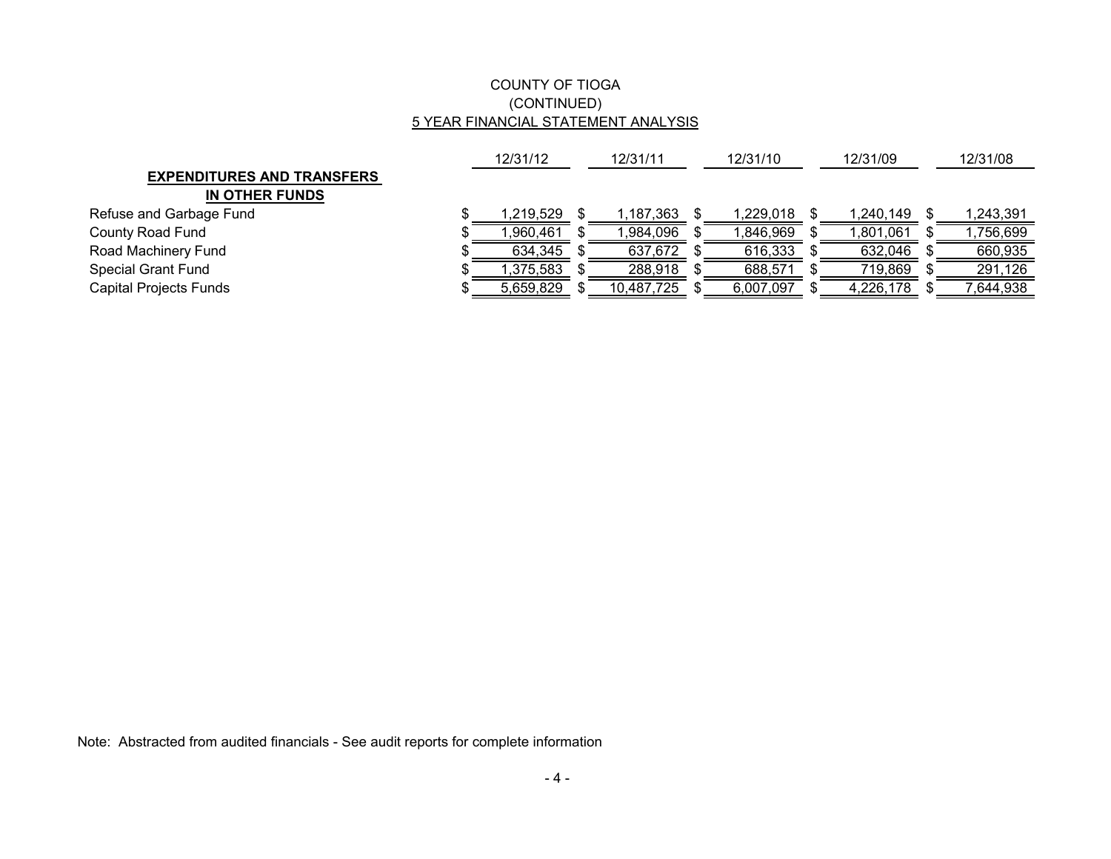# COUNTY OF TIOGA (CONTINUED) 5 YEAR FINANCIAL STATEMENT ANALYSIS

|                                   | 12/31/12  |  | 12/31/11   |  | 12/31/10  |  | 12/31/09  |  | 12/31/08  |
|-----------------------------------|-----------|--|------------|--|-----------|--|-----------|--|-----------|
| <b>EXPENDITURES AND TRANSFERS</b> |           |  |            |  |           |  |           |  |           |
| IN OTHER FUNDS                    |           |  |            |  |           |  |           |  |           |
| Refuse and Garbage Fund           | 1.219.529 |  | ,187,363   |  | ,229,018  |  | 1,240,149 |  | 1,243,391 |
| County Road Fund                  | ,960,461  |  | ,984,096   |  | ,846,969  |  | 1,801,061 |  | ,756,699  |
| Road Machinery Fund               | 634,345   |  | 637,672    |  | 616,333   |  | 632,046   |  | 660,935   |
| Special Grant Fund                | 1,375,583 |  | 288,918    |  | 688,571   |  | 719,869   |  | 291,126   |
| Capital Projects Funds            | 5,659,829 |  | 10,487,725 |  | 6,007,097 |  | 4,226,178 |  | 644,938   |

Note: Abstracted from audited financials - See audit reports for complete information